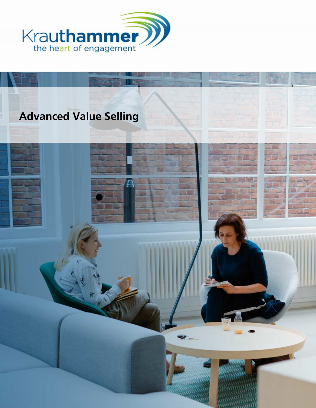# Advanced Value Selling

### Advanced Value Selling 1

[https://www.krauthammer.com/programs/adv](https://www.krauthammer.com/programs/advanced-value-selling/#inspiring-locations)anced-value-selling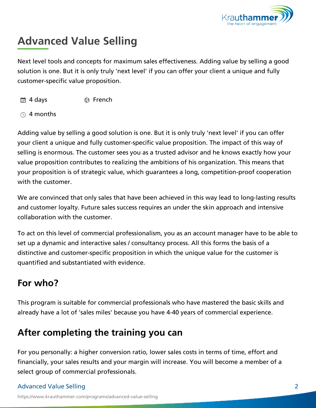## Advanced Value Selling

Next level tools and concepts for maximum sales effectiveness. Add solution is one. But it is only truly 'next level' if you can offer you customer-specific value proposition.

- 4 days French
- 4 months

Adding value by selling a good solution is one. But it is only truly your client a unique and fully customer-specific value proposition. selling is enormous. The customer sees you as a trusted advisor an value proposition contributes to realizing the ambitions of his orga your proposition is of strategic value, which guarantees a long, cor with the customer.

We are convinced that only sales that have been achieved in this w and customer loyalty. Future sales success requires an under the s collaboration with the customer.

To act on this level of commercial professionalism, you as an accor set up a dynamic and interactive sales / consultancy process. All th distinctive and customer-specific proposition in which the unique v quantified and substantiated with evidence.

## For who?

This program is suitable for commercial professionals who have ma already have a lot of 'sales miles' because you have 4-40 years of

### After completing the training you can

For you personally: a higher conversion ratio, lower sales costs in financially, your sales results and your margin will increase. You w select group of commercial professionals.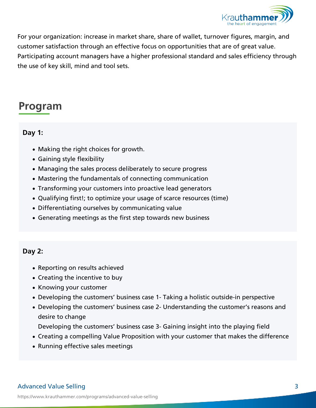For your organization: increase in market share, share of wallet, tu customer satisfaction through an effective focus on opportunities th Participating account managers have a higher professional standard the use of key skill, mind and tool sets.

## Program

Day 1:

- Making the right choices for growth.
- Gaining style flexibility
- Managing the sales process deliberately to secure progress
- Mastering the fundamentals of connecting communication
- Transforming your customers into proactive lead generators
- Qualifying first!; to optimize your usage of scarce resources (t
- Differentiating ourselves by communicating value
- Generating meetings as the first step towards new business

Day 2:

- Reporting on results achieved
- Creating the incentive to buy
- Knowing your customer
- Developing the customers business case 1 Taking a holistic o
- Developing the customers business case 2 Understanding the desire to change
	- Developing the customers business case 3- Gaining insight in
- Creating a compelling Value Proposition with your customer th
- Running effective sales meetings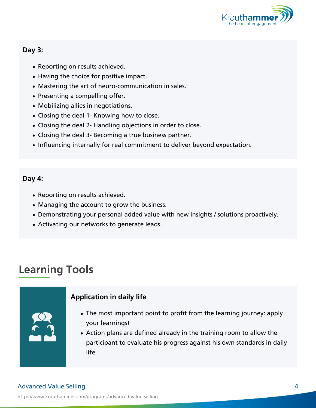#### Day 3:

- Reporting on results achieved.
- Having the choice for positive impact.
- Mastering the art of neuro-communication in sales.
- Presenting a compelling offer.
- Mobilizing allies in negotiations.
- Closing the deal 1- Knowing how to close.
- Closing the deal 2- Handling objections in order to close.
- Closing the deal 3- Becoming a true business partner.
- $\bullet$  Influencing internally for real commitment to deliver beyond ex

#### $Day 4:$

- Reporting on results achieved.
- Managing the account to grow the business.
- Demonstrating your personal added value with new insights / s
- Activating our networks to generate leads.

## Learning Tools

#### Application in daily life

- The most important point to profit from the learning your learnings!
- Action plans are defined already in the training roo participant to evaluate his progress against his own life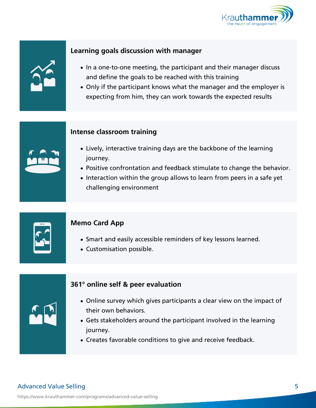